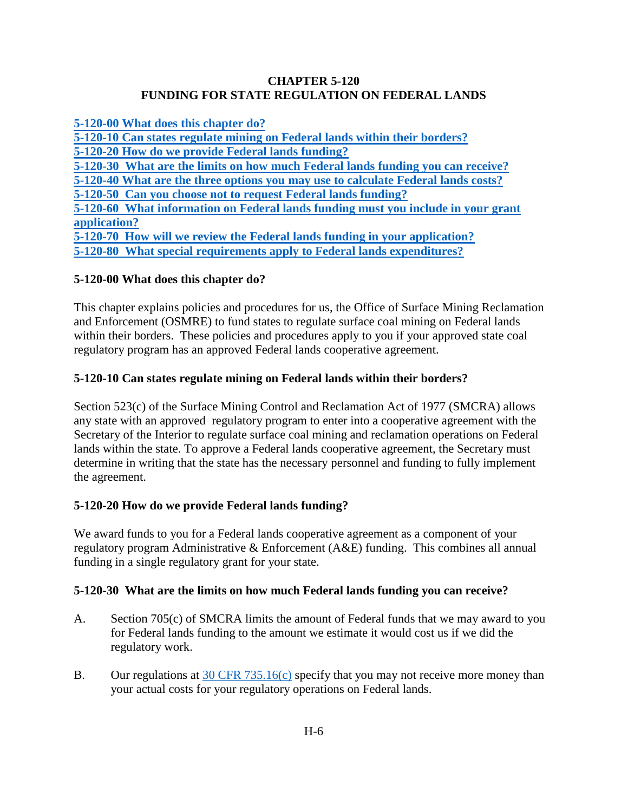### **CHAPTER 5-120 FUNDING FOR STATE REGULATION ON FEDERAL LANDS**

<span id="page-0-0"></span>**[5-120-00 What does this chapter do?](#page-0-0) [5-120-10 Can states regulate mining on Federal lands within their borders?](#page-0-1) [5-120-20 How do we provide Federal lands funding?](#page-0-2) [5-120-30 What are the limits on how much Federal lands funding you can receive?](#page-0-3) 5-120-40 [What are the three options you may use to calculate Federal lands costs?](#page-1-0) [5-120-50 Can you choose not to request Federal lands funding?](#page-3-0) 5-120-60 [What information on Federal lands funding must you include in your grant](#page-3-1) [application?](#page-3-1)  [5-120-70 How will we review the Federal lands funding in your application?](#page-3-2) 5-120-80 [What special requirements apply to Federal lands expenditures?](#page-4-0)**

## **5-120-00 What does this chapter do?**

This chapter explains policies and procedures for us, the Office of Surface Mining Reclamation and Enforcement (OSMRE) to fund states to regulate surface coal mining on Federal lands within their borders. These policies and procedures apply to you if your approved state coal regulatory program has an approved Federal lands cooperative agreement.

### <span id="page-0-1"></span>**5-120-10 Can states regulate mining on Federal lands within their borders?**

Section 523(c) of the Surface Mining Control and Reclamation Act of 1977 (SMCRA) allows any state with an approved regulatory program to enter into a cooperative agreement with the Secretary of the Interior to regulate surface coal mining and reclamation operations on Federal lands within the state. To approve a Federal lands cooperative agreement, the Secretary must determine in writing that the state has the necessary personnel and funding to fully implement the agreement.

#### <span id="page-0-2"></span>**5-120-20 How do we provide Federal lands funding?**

We award funds to you for a Federal lands cooperative agreement as a component of your regulatory program Administrative & Enforcement (A&E) funding. This combines all annual funding in a single regulatory grant for your state.

#### <span id="page-0-3"></span>**5-120-30 What are the limits on how much Federal lands funding you can receive?**

- A. Section 705(c) of SMCRA limits the amount of Federal funds that we may award to you for Federal lands funding to the amount we estimate it would cost us if we did the regulatory work.
- B. Our regulations at [30 CFR 735.16\(c\)](http://www.ecfr.gov/cgi-bin/text-idx?SID=3bd3b173eeb54685d68c235a8396c7b0&node=pt30.3.735&rgn=div5#se30.3.735_116) specify that you may not receive more money than your actual costs for your regulatory operations on Federal lands.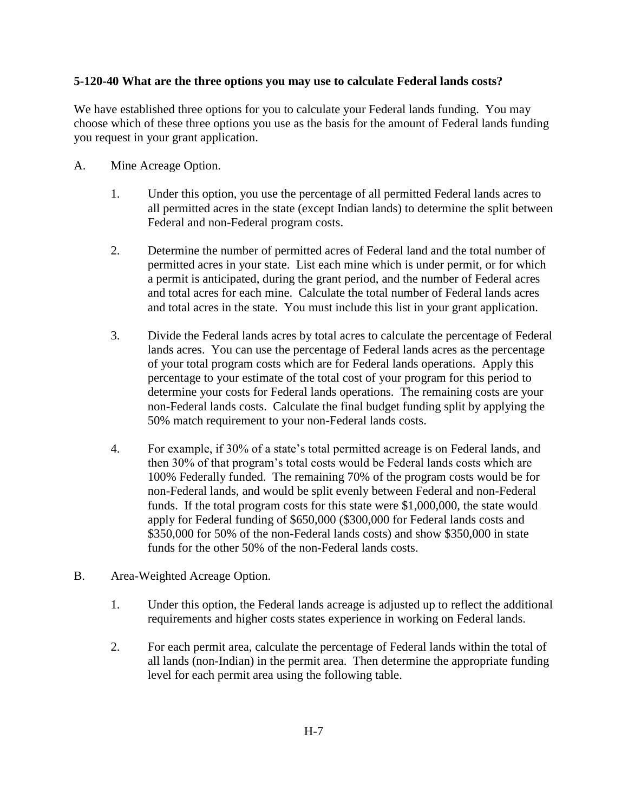#### <span id="page-1-0"></span>**5-120-40 What are the three options you may use to calculate Federal lands costs?**

We have established three options for you to calculate your Federal lands funding. You may choose which of these three options you use as the basis for the amount of Federal lands funding you request in your grant application.

- A. Mine Acreage Option.
	- 1. Under this option, you use the percentage of all permitted Federal lands acres to all permitted acres in the state (except Indian lands) to determine the split between Federal and non-Federal program costs.
	- 2. Determine the number of permitted acres of Federal land and the total number of permitted acres in your state. List each mine which is under permit, or for which a permit is anticipated, during the grant period, and the number of Federal acres and total acres for each mine. Calculate the total number of Federal lands acres and total acres in the state. You must include this list in your grant application.
	- 3. Divide the Federal lands acres by total acres to calculate the percentage of Federal lands acres. You can use the percentage of Federal lands acres as the percentage of your total program costs which are for Federal lands operations. Apply this percentage to your estimate of the total cost of your program for this period to determine your costs for Federal lands operations. The remaining costs are your non-Federal lands costs. Calculate the final budget funding split by applying the 50% match requirement to your non-Federal lands costs.
	- 4. For example, if 30% of a state's total permitted acreage is on Federal lands, and then 30% of that program's total costs would be Federal lands costs which are 100% Federally funded. The remaining 70% of the program costs would be for non-Federal lands, and would be split evenly between Federal and non-Federal funds. If the total program costs for this state were \$1,000,000, the state would apply for Federal funding of \$650,000 (\$300,000 for Federal lands costs and \$350,000 for 50% of the non-Federal lands costs) and show \$350,000 in state funds for the other 50% of the non-Federal lands costs.
- B. Area-Weighted Acreage Option.
	- 1. Under this option, the Federal lands acreage is adjusted up to reflect the additional requirements and higher costs states experience in working on Federal lands.
	- 2. For each permit area, calculate the percentage of Federal lands within the total of all lands (non-Indian) in the permit area. Then determine the appropriate funding level for each permit area using the following table.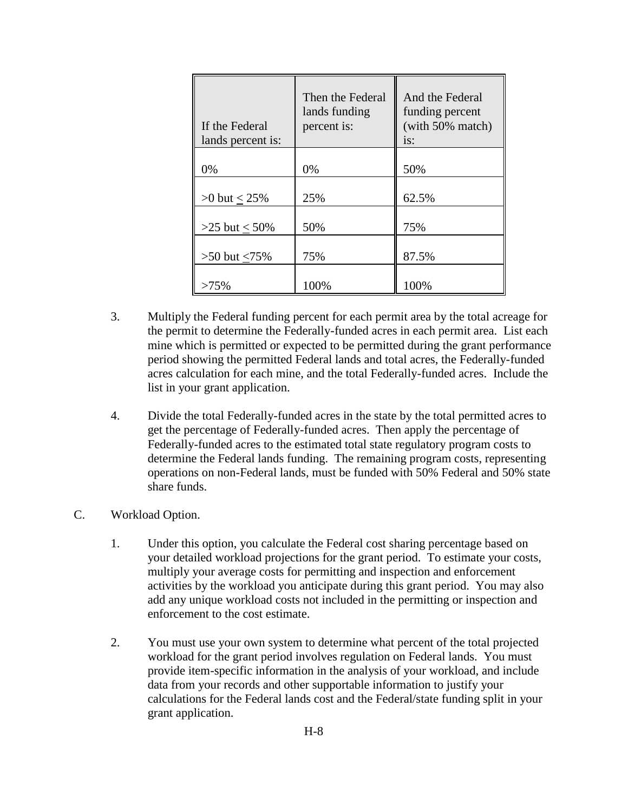| If the Federal<br>lands percent is: | Then the Federal<br>lands funding<br>percent is: | And the Federal<br>funding percent<br>(with 50% match)<br>$i$ s: |
|-------------------------------------|--------------------------------------------------|------------------------------------------------------------------|
| 0%                                  | 0%                                               | 50%                                                              |
| $>0$ but $< 25\%$                   | 25%                                              | 62.5%                                                            |
| $>25$ but $< 50\%$                  | 50%                                              | 75%                                                              |
| $>50$ but $< 75\%$                  | 75%                                              | 87.5%                                                            |
| $>75\%$                             | 100%                                             | 100%                                                             |

- 3. Multiply the Federal funding percent for each permit area by the total acreage for the permit to determine the Federally-funded acres in each permit area. List each mine which is permitted or expected to be permitted during the grant performance period showing the permitted Federal lands and total acres, the Federally-funded acres calculation for each mine, and the total Federally-funded acres. Include the list in your grant application.
- 4. Divide the total Federally-funded acres in the state by the total permitted acres to get the percentage of Federally-funded acres. Then apply the percentage of Federally-funded acres to the estimated total state regulatory program costs to determine the Federal lands funding. The remaining program costs, representing operations on non-Federal lands, must be funded with 50% Federal and 50% state share funds.
- C. Workload Option.
	- 1. Under this option, you calculate the Federal cost sharing percentage based on your detailed workload projections for the grant period. To estimate your costs, multiply your average costs for permitting and inspection and enforcement activities by the workload you anticipate during this grant period. You may also add any unique workload costs not included in the permitting or inspection and enforcement to the cost estimate.
	- 2. You must use your own system to determine what percent of the total projected workload for the grant period involves regulation on Federal lands. You must provide item-specific information in the analysis of your workload, and include data from your records and other supportable information to justify your calculations for the Federal lands cost and the Federal/state funding split in your grant application.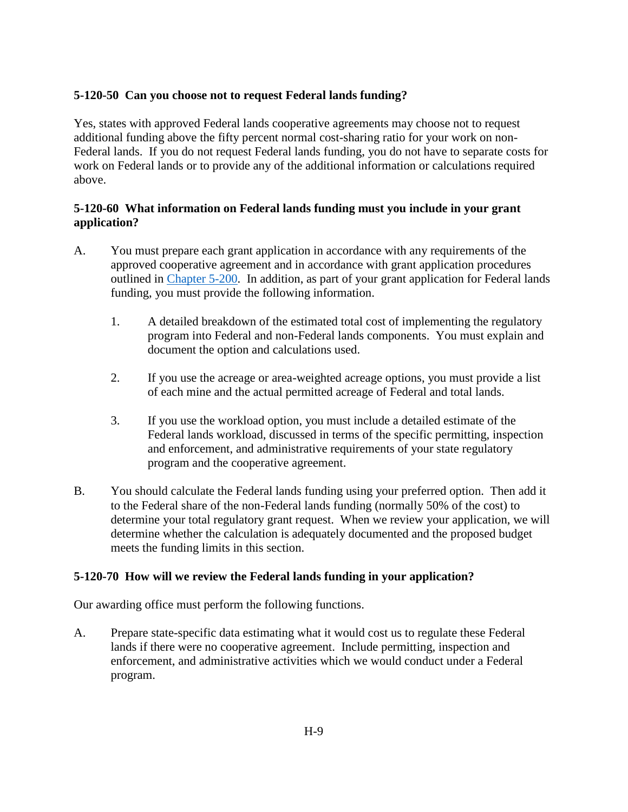## <span id="page-3-0"></span>**5-120-50 Can you choose not to request Federal lands funding?**

Yes, states with approved Federal lands cooperative agreements may choose not to request additional funding above the fifty percent normal cost-sharing ratio for your work on non-Federal lands. If you do not request Federal lands funding, you do not have to separate costs for work on Federal lands or to provide any of the additional information or calculations required above.

## <span id="page-3-1"></span>**5-120-60 What information on Federal lands funding must you include in your grant application?**

- A. You must prepare each grant application in accordance with any requirements of the approved cooperative agreement and in accordance with grant application procedures outlined in [Chapter 5-200.](https://www.osmre.gov/lrg/fam/5-200.pdf) In addition, as part of your grant application for Federal lands funding, you must provide the following information.
	- 1. A detailed breakdown of the estimated total cost of implementing the regulatory program into Federal and non-Federal lands components. You must explain and document the option and calculations used.
	- 2. If you use the acreage or area-weighted acreage options, you must provide a list of each mine and the actual permitted acreage of Federal and total lands.
	- 3. If you use the workload option, you must include a detailed estimate of the Federal lands workload, discussed in terms of the specific permitting, inspection and enforcement, and administrative requirements of your state regulatory program and the cooperative agreement.
- B. You should calculate the Federal lands funding using your preferred option. Then add it to the Federal share of the non-Federal lands funding (normally 50% of the cost) to determine your total regulatory grant request. When we review your application, we will determine whether the calculation is adequately documented and the proposed budget meets the funding limits in this section.

## <span id="page-3-2"></span>**5-120-70 How will we review the Federal lands funding in your application?**

Our awarding office must perform the following functions.

A. Prepare state-specific data estimating what it would cost us to regulate these Federal lands if there were no cooperative agreement. Include permitting, inspection and enforcement, and administrative activities which we would conduct under a Federal program.